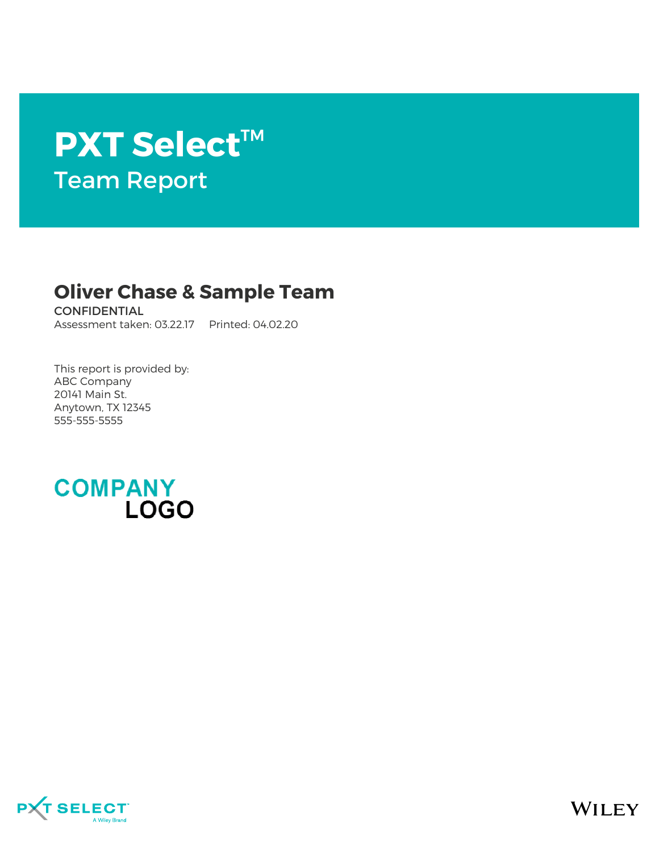# **PXT Select**™ Team Report

## **Oliver Chase & Sample Team**

**CONFIDENTIAL** Assessment taken: 03.22.17 Printed: 04.02.20

This report is provided by: ABC Company 20141 Main St. Anytown, TX 12345 555-555-5555



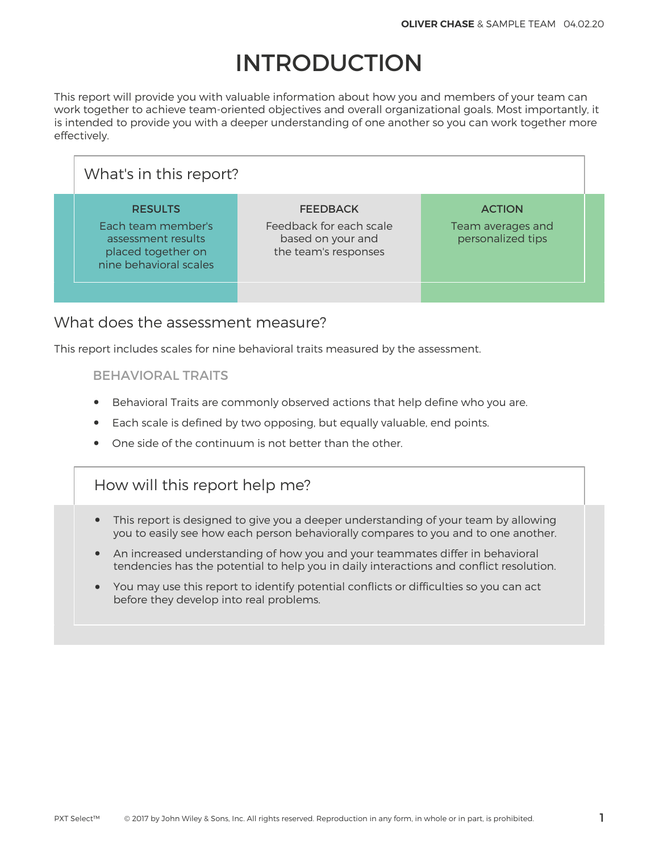# INTRODUCTION

This report will provide you with valuable information about how you and members of your team can work together to achieve team-oriented objectives and overall organizational goals. Most importantly, it is intended to provide you with a deeper understanding of one another so you can work together more effectively.

| What's in this report?                                                                                     |                                                                                         |                                                         |  |
|------------------------------------------------------------------------------------------------------------|-----------------------------------------------------------------------------------------|---------------------------------------------------------|--|
| <b>RESULTS</b><br>Each team member's<br>assessment results<br>placed together on<br>nine behavioral scales | <b>FEEDBACK</b><br>Feedback for each scale<br>based on your and<br>the team's responses | <b>ACTION</b><br>Team averages and<br>personalized tips |  |
|                                                                                                            |                                                                                         |                                                         |  |

#### What does the assessment measure?

This report includes scales for nine behavioral traits measured by the assessment.

#### BEHAVIORAL TRAITS

- Behavioral Traits are commonly observed actions that help define who you are.
- Each scale is defined by two opposing, but equally valuable, end points.
- One side of the continuum is not better than the other.

## How will this report help me?

- This report is designed to give you a deeper understanding of your team by allowing you to easily see how each person behaviorally compares to you and to one another.
- An increased understanding of how you and your teammates differ in behavioral tendencies has the potential to help you in daily interactions and conflict resolution.
- You may use this report to identify potential conflicts or difficulties so you can act before they develop into real problems.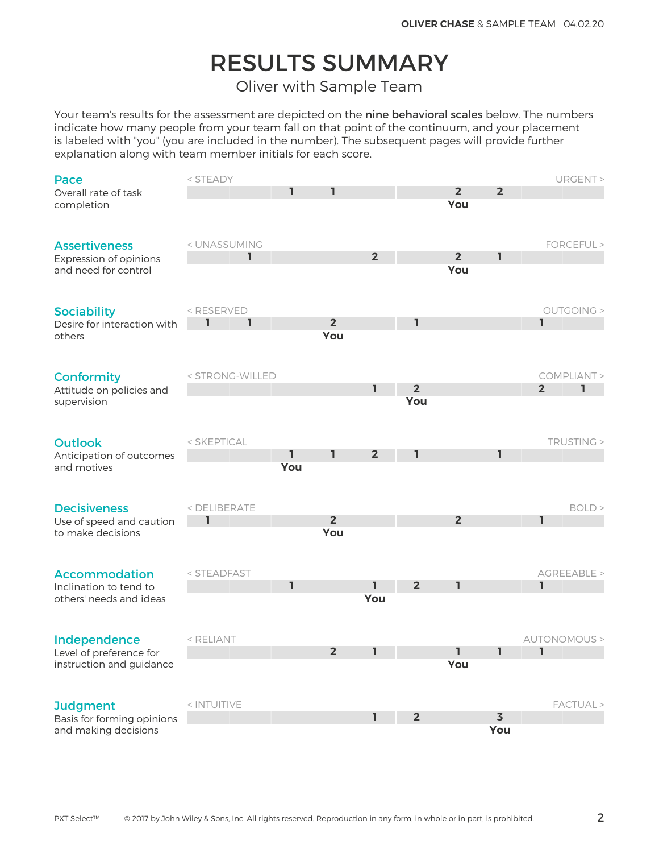# RESULTS SUMMARY

Oliver with Sample Team

Your team's results for the assessment are depicted on the nine behavioral scales below. The numbers indicate how many people from your team fall on that point of the continuum, and your placement is labeled with "you" (you are included in the number). The subsequent pages will provide further explanation along with team member initials for each score.

| Pace                        | < STEADY                                                                                                           |     |                |                |                |                |                         |                | URGENT >     |
|-----------------------------|--------------------------------------------------------------------------------------------------------------------|-----|----------------|----------------|----------------|----------------|-------------------------|----------------|--------------|
| Overall rate of task        |                                                                                                                    | 1   | ı              |                |                | $\overline{2}$ | $\overline{2}$          |                |              |
| completion                  |                                                                                                                    |     |                |                |                | You            |                         |                |              |
|                             |                                                                                                                    |     |                |                |                |                |                         |                |              |
|                             |                                                                                                                    |     |                |                |                |                |                         |                |              |
| <b>Assertiveness</b>        | < UNASSUMING                                                                                                       |     |                |                |                |                |                         |                | FORCEFUL >   |
| Expression of opinions      | ı                                                                                                                  |     |                | $\overline{2}$ |                | $\overline{2}$ | ı                       |                |              |
| and need for control        |                                                                                                                    |     |                |                |                | You            |                         |                |              |
|                             |                                                                                                                    |     |                |                |                |                |                         |                |              |
|                             |                                                                                                                    |     |                |                |                |                |                         |                |              |
| <b>Sociability</b>          | <reserved< td=""><td></td><td></td><td></td><td></td><td></td><td></td><td></td><td>OUTGOING &gt;</td></reserved<> |     |                |                |                |                |                         |                | OUTGOING >   |
| Desire for interaction with | ı<br>ı                                                                                                             |     | 2 <sup>2</sup> |                | ı              |                |                         | I.             |              |
| others                      |                                                                                                                    |     | You            |                |                |                |                         |                |              |
|                             |                                                                                                                    |     |                |                |                |                |                         |                |              |
|                             |                                                                                                                    |     |                |                |                |                |                         |                |              |
| <b>Conformity</b>           | < STRONG-WILLED                                                                                                    |     |                |                | $\overline{2}$ |                |                         |                | COMPLIANT >  |
| Attitude on policies and    |                                                                                                                    |     |                | $\mathbf{I}$   | You            |                |                         | $\overline{2}$ | ı            |
| supervision                 |                                                                                                                    |     |                |                |                |                |                         |                |              |
|                             |                                                                                                                    |     |                |                |                |                |                         |                |              |
| <b>Outlook</b>              | < SKEPTICAL                                                                                                        |     |                |                |                |                |                         |                | TRUSTING >   |
| Anticipation of outcomes    |                                                                                                                    | ı   | 1              | 2 <sup>2</sup> | 1              |                | ı                       |                |              |
| and motives                 |                                                                                                                    | You |                |                |                |                |                         |                |              |
|                             |                                                                                                                    |     |                |                |                |                |                         |                |              |
|                             |                                                                                                                    |     |                |                |                |                |                         |                |              |
| <b>Decisiveness</b>         | < DELIBERATE                                                                                                       |     |                |                |                |                |                         |                | BOLD         |
| Use of speed and caution    | 1                                                                                                                  |     | 2 <sup>2</sup> |                |                | 2 <sup>2</sup> |                         | ı              |              |
| to make decisions           |                                                                                                                    |     | You            |                |                |                |                         |                |              |
|                             |                                                                                                                    |     |                |                |                |                |                         |                |              |
|                             |                                                                                                                    |     |                |                |                |                |                         |                |              |
| <b>Accommodation</b>        | < STEADFAST                                                                                                        |     |                |                |                |                |                         |                | AGREEABLE >  |
| Inclination to tend to      |                                                                                                                    | I.  |                | ı.             | $\overline{2}$ | 1              |                         | $\mathbf{I}$   |              |
| others' needs and ideas     |                                                                                                                    |     |                | You            |                |                |                         |                |              |
|                             |                                                                                                                    |     |                |                |                |                |                         |                |              |
|                             |                                                                                                                    |     |                |                |                |                |                         |                |              |
| Independence                | < RELIANT                                                                                                          |     |                |                |                |                |                         |                | AUTONOMOUS > |
| Level of preference for     |                                                                                                                    |     | $\overline{2}$ | I.             |                | I.             | ı                       | I.             |              |
| instruction and guidance    |                                                                                                                    |     |                |                |                | You            |                         |                |              |
|                             |                                                                                                                    |     |                |                |                |                |                         |                |              |
|                             |                                                                                                                    |     |                |                |                |                |                         |                |              |
| <b>Judgment</b>             | < INTUITIVE                                                                                                        |     |                |                |                |                |                         |                | FACTUAL >    |
| Basis for forming opinions  |                                                                                                                    |     |                | ı.             | $\overline{2}$ |                | $\overline{\mathbf{3}}$ |                |              |
| and making decisions        |                                                                                                                    |     |                |                |                |                | You                     |                |              |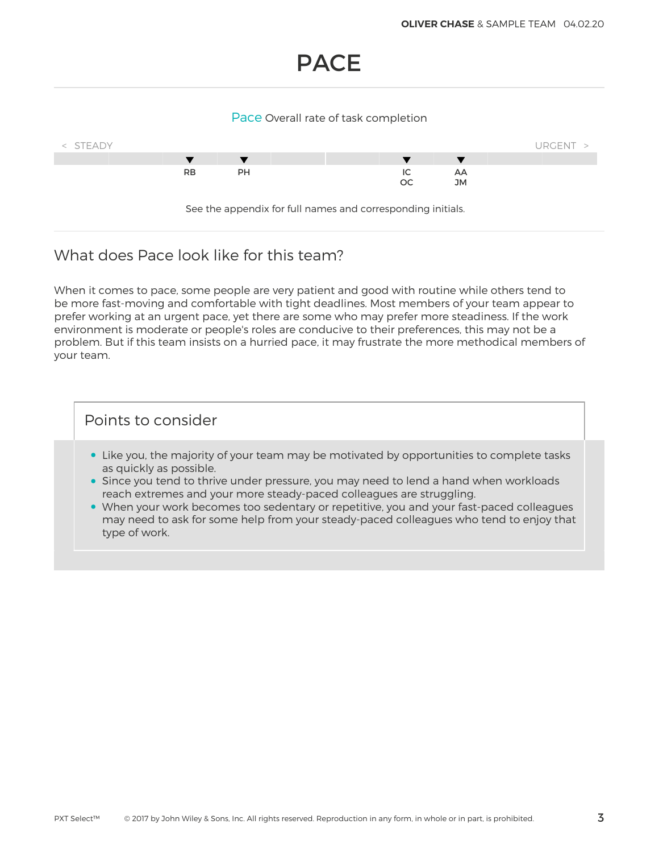## PACE

#### Pace Overall rate of task completion



### What does Pace look like for this team?

When it comes to pace, some people are very patient and good with routine while others tend to be more fast-moving and comfortable with tight deadlines. Most members of your team appear to prefer working at an urgent pace, yet there are some who may prefer more steadiness. If the work environment is moderate or people's roles are conducive to their preferences, this may not be a problem. But if this team insists on a hurried pace, it may frustrate the more methodical members of your team.

- Like you, the majority of your team may be motivated by opportunities to complete tasks as quickly as possible.
- Since you tend to thrive under pressure, you may need to lend a hand when workloads reach extremes and your more steady-paced colleagues are struggling.
- When your work becomes too sedentary or repetitive, you and your fast-paced colleagues may need to ask for some help from your steady-paced colleagues who tend to enjoy that type of work.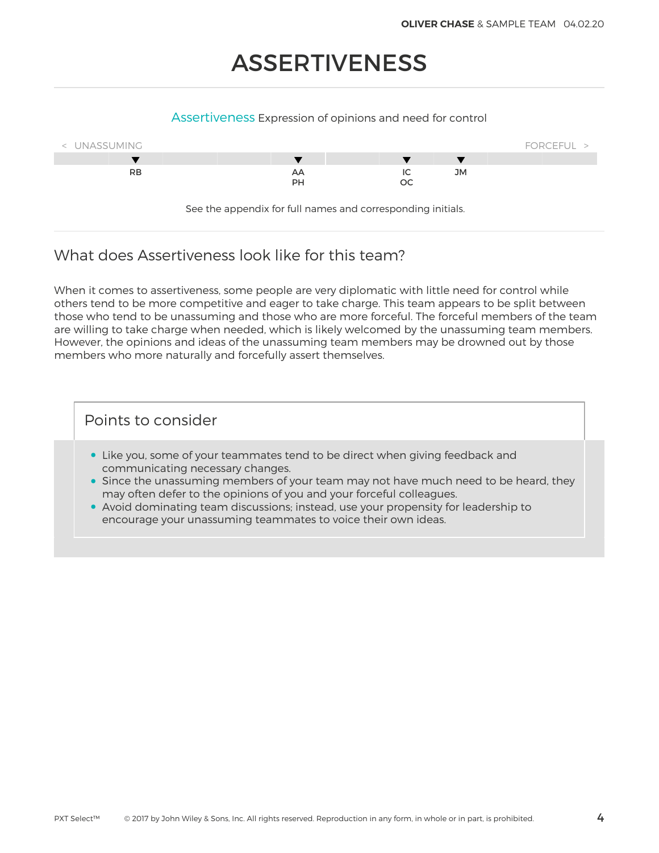# ASSERTIVENESS

#### Assertiveness Expression of opinions and need for control



See the appendix for full names and corresponding initials.

## What does Assertiveness look like for this team?

When it comes to assertiveness, some people are very diplomatic with little need for control while others tend to be more competitive and eager to take charge. This team appears to be split between those who tend to be unassuming and those who are more forceful. The forceful members of the team are willing to take charge when needed, which is likely welcomed by the unassuming team members. However, the opinions and ideas of the unassuming team members may be drowned out by those members who more naturally and forcefully assert themselves.

- Like you, some of your teammates tend to be direct when giving feedback and communicating necessary changes.
- Since the unassuming members of your team may not have much need to be heard, they may often defer to the opinions of you and your forceful colleagues.
- Avoid dominating team discussions; instead, use your propensity for leadership to encourage your unassuming teammates to voice their own ideas.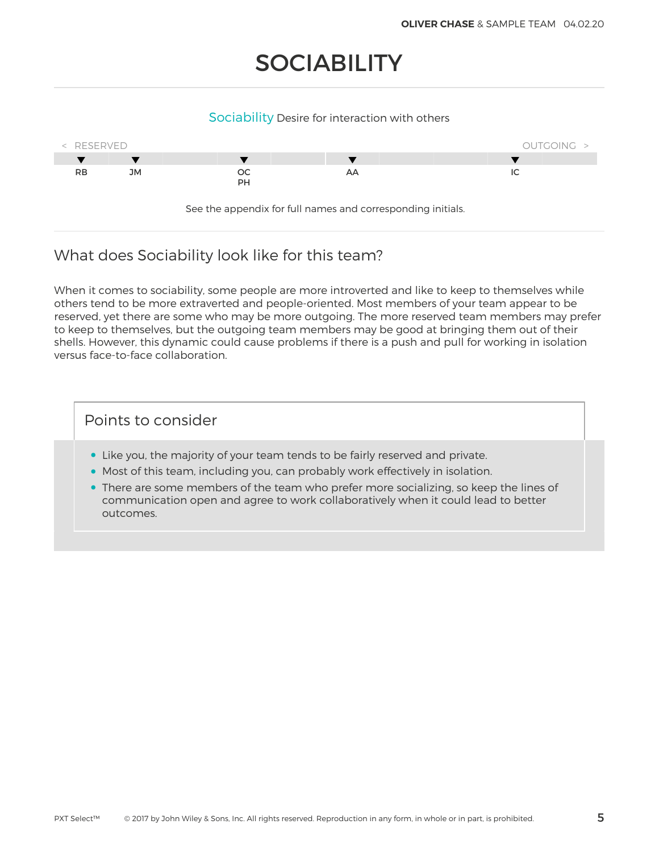# **SOCIABILITY**

#### Sociability Desire for interaction with others



## What does Sociability look like for this team?

When it comes to sociability, some people are more introverted and like to keep to themselves while others tend to be more extraverted and people-oriented. Most members of your team appear to be reserved, yet there are some who may be more outgoing. The more reserved team members may prefer to keep to themselves, but the outgoing team members may be good at bringing them out of their shells. However, this dynamic could cause problems if there is a push and pull for working in isolation versus face-to-face collaboration.

- Like you, the majority of your team tends to be fairly reserved and private.
- Most of this team, including you, can probably work effectively in isolation.
- There are some members of the team who prefer more socializing, so keep the lines of communication open and agree to work collaboratively when it could lead to better outcomes.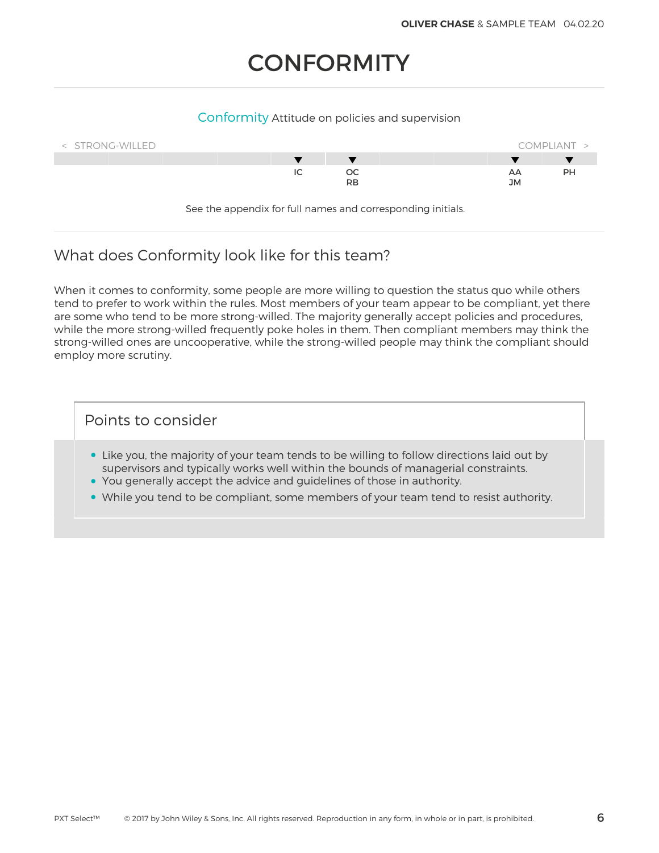# **CONFORMITY**

#### Conformity Attitude on policies and supervision



See the appendix for full names and corresponding initials.

## What does Conformity look like for this team?

When it comes to conformity, some people are more willing to question the status quo while others tend to prefer to work within the rules. Most members of your team appear to be compliant, yet there are some who tend to be more strong-willed. The majority generally accept policies and procedures, while the more strong-willed frequently poke holes in them. Then compliant members may think the strong-willed ones are uncooperative, while the strong-willed people may think the compliant should employ more scrutiny.

- Like you, the majority of your team tends to be willing to follow directions laid out by supervisors and typically works well within the bounds of managerial constraints.
- You generally accept the advice and guidelines of those in authority.
- While you tend to be compliant, some members of your team tend to resist authority.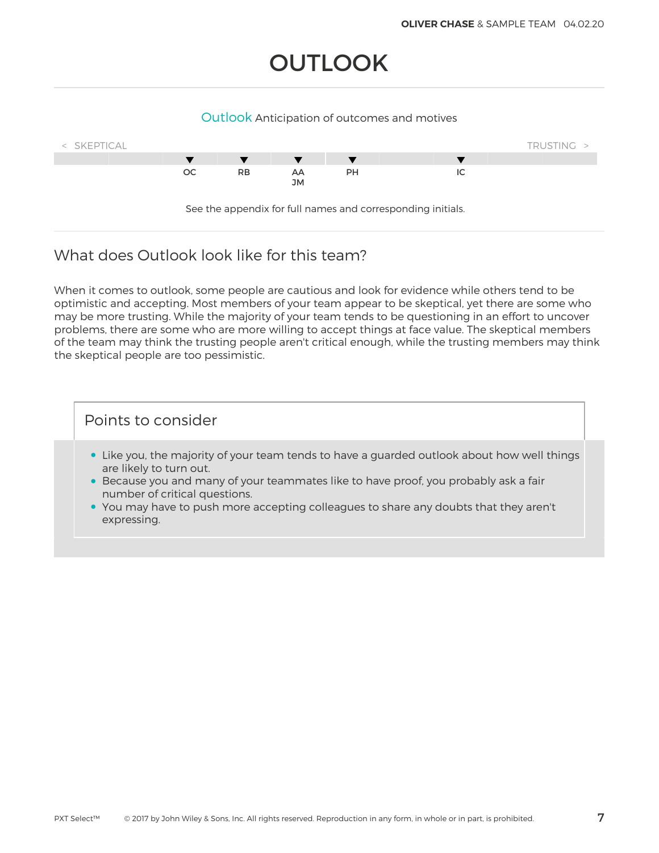# **OUTLOOK**

#### Outlook Anticipation of outcomes and motives



## What does Outlook look like for this team?

When it comes to outlook, some people are cautious and look for evidence while others tend to be optimistic and accepting. Most members of your team appear to be skeptical, yet there are some who may be more trusting. While the majority of your team tends to be questioning in an effort to uncover problems, there are some who are more willing to accept things at face value. The skeptical members of the team may think the trusting people aren't critical enough, while the trusting members may think the skeptical people are too pessimistic.

- Like you, the majority of your team tends to have a guarded outlook about how well things are likely to turn out.
- Because you and many of your teammates like to have proof, you probably ask a fair number of critical questions.
- You may have to push more accepting colleagues to share any doubts that they aren't expressing.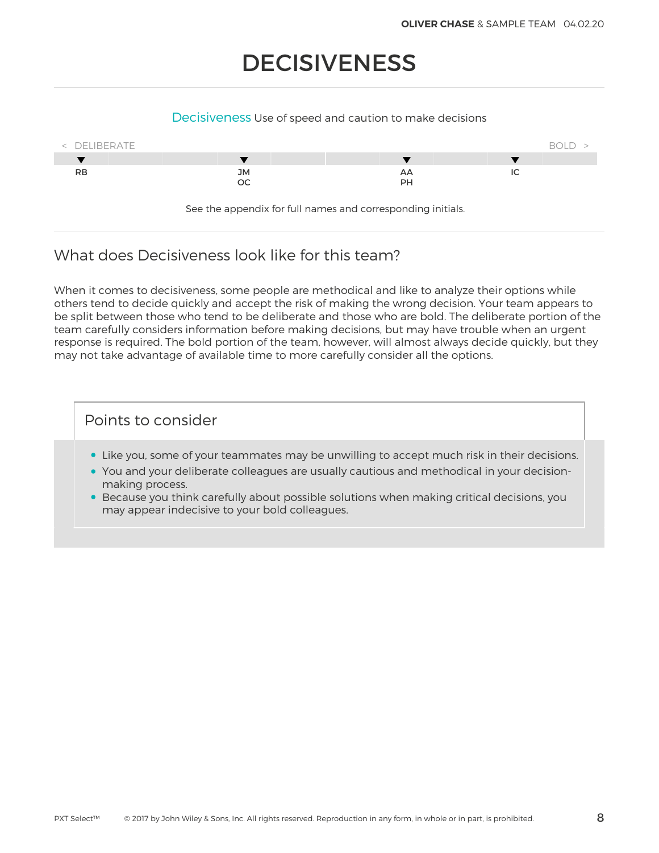# DECISIVENESS

#### Decisiveness Use of speed and caution to make decisions



See the appendix for full names and corresponding initials.

## What does Decisiveness look like for this team?

When it comes to decisiveness, some people are methodical and like to analyze their options while others tend to decide quickly and accept the risk of making the wrong decision. Your team appears to be split between those who tend to be deliberate and those who are bold. The deliberate portion of the team carefully considers information before making decisions, but may have trouble when an urgent response is required. The bold portion of the team, however, will almost always decide quickly, but they may not take advantage of available time to more carefully consider all the options.

- Like you, some of your teammates may be unwilling to accept much risk in their decisions.
- You and your deliberate colleagues are usually cautious and methodical in your decisionmaking process.
- Because you think carefully about possible solutions when making critical decisions, you may appear indecisive to your bold colleagues.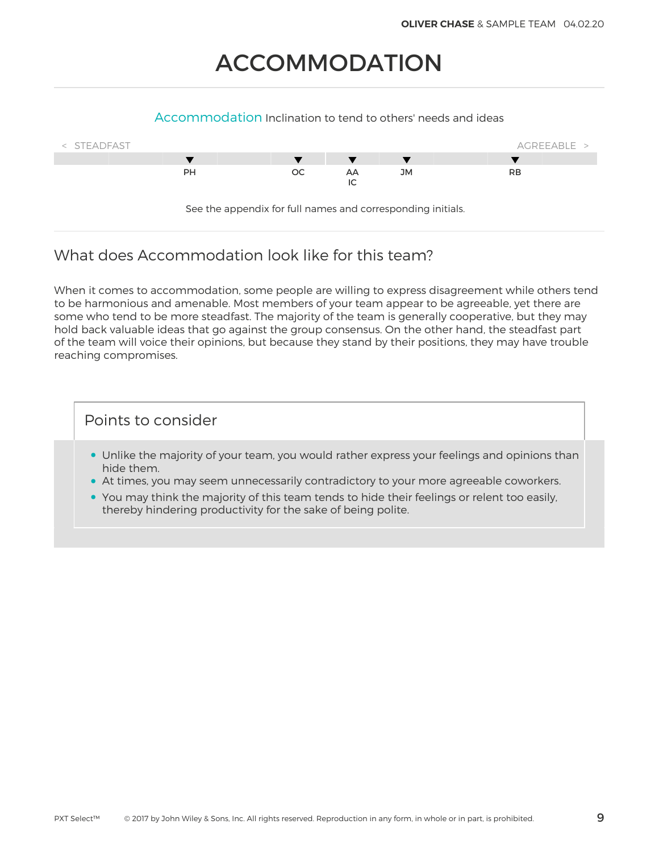# ACCOMMODATION

#### Accommodation Inclination to tend to others' needs and ideas



## What does Accommodation look like for this team?

When it comes to accommodation, some people are willing to express disagreement while others tend to be harmonious and amenable. Most members of your team appear to be agreeable, yet there are some who tend to be more steadfast. The majority of the team is generally cooperative, but they may hold back valuable ideas that go against the group consensus. On the other hand, the steadfast part of the team will voice their opinions, but because they stand by their positions, they may have trouble reaching compromises.

- Unlike the majority of your team, you would rather express your feelings and opinions than hide them.
- At times, you may seem unnecessarily contradictory to your more agreeable coworkers.
- You may think the majority of this team tends to hide their feelings or relent too easily, thereby hindering productivity for the sake of being polite.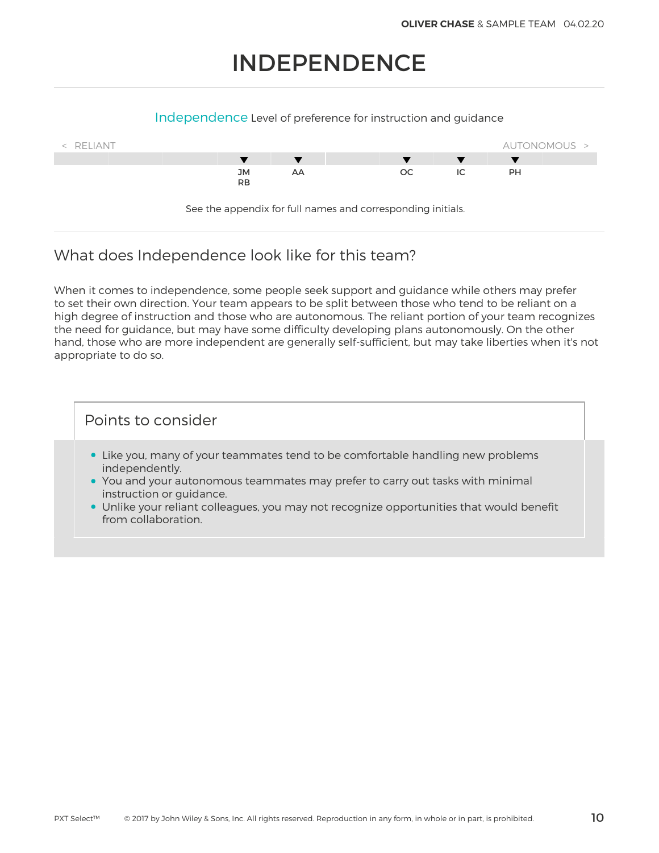# INDEPENDENCE

#### Independence Level of preference for instruction and guidance



## What does Independence look like for this team?

When it comes to independence, some people seek support and guidance while others may prefer to set their own direction. Your team appears to be split between those who tend to be reliant on a high degree of instruction and those who are autonomous. The reliant portion of your team recognizes the need for guidance, but may have some difficulty developing plans autonomously. On the other hand, those who are more independent are generally self-sufficient, but may take liberties when it's not appropriate to do so.

- Like you, many of your teammates tend to be comfortable handling new problems independently.
- You and your autonomous teammates may prefer to carry out tasks with minimal instruction or guidance.
- Unlike your reliant colleagues, you may not recognize opportunities that would benefit from collaboration.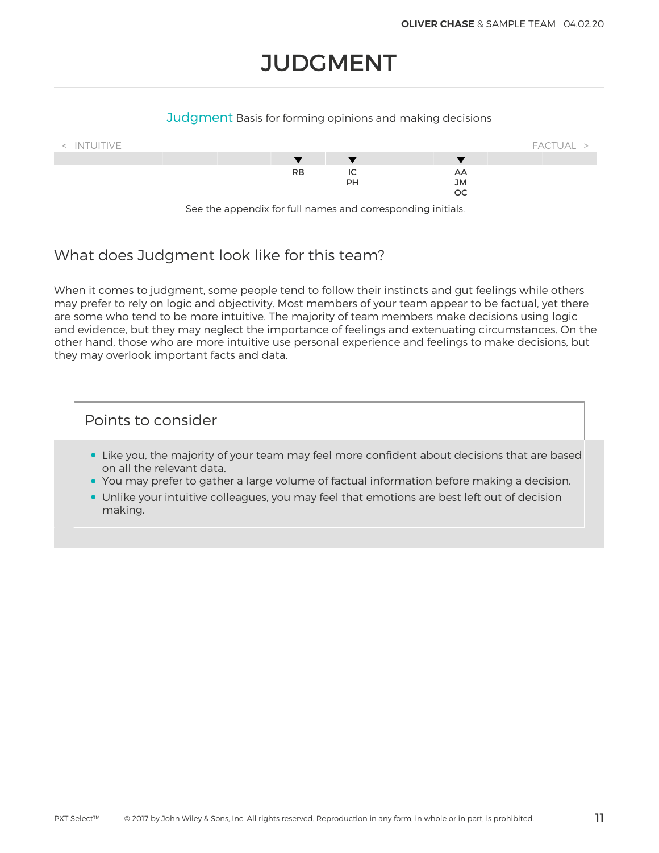# **JUDGMENT**

#### Judgment Basis for forming opinions and making decisions



## What does Judgment look like for this team?

When it comes to judgment, some people tend to follow their instincts and gut feelings while others may prefer to rely on logic and objectivity. Most members of your team appear to be factual, yet there are some who tend to be more intuitive. The majority of team members make decisions using logic and evidence, but they may neglect the importance of feelings and extenuating circumstances. On the other hand, those who are more intuitive use personal experience and feelings to make decisions, but they may overlook important facts and data.

- Like you, the majority of your team may feel more confident about decisions that are based on all the relevant data.
- You may prefer to gather a large volume of factual information before making a decision.
- Unlike your intuitive colleagues, you may feel that emotions are best left out of decision making.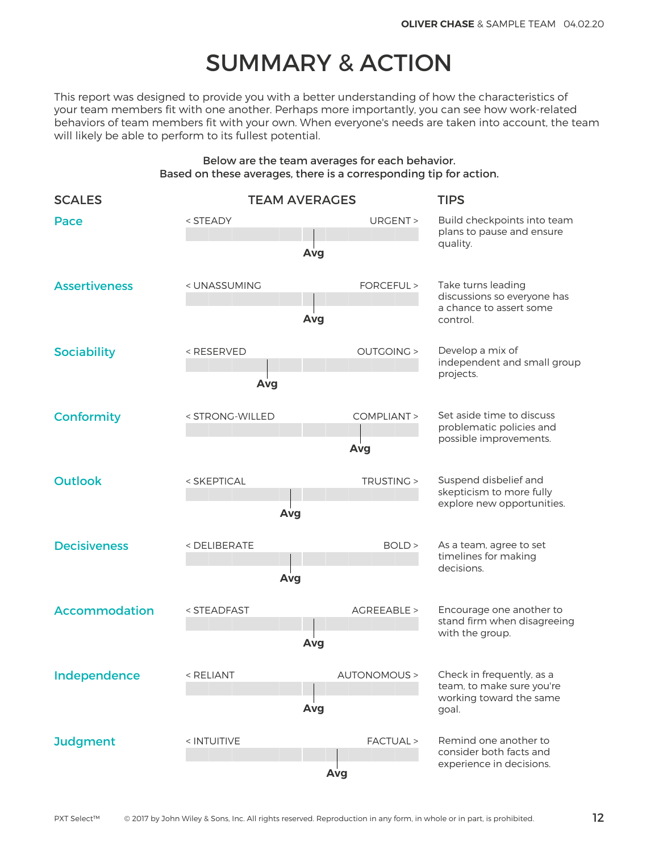# SUMMARY & ACTION

This report was designed to provide you with a better understanding of how the characteristics of your team members fit with one another. Perhaps more importantly, you can see how work-related behaviors of team members fit with your own. When everyone's needs are taken into account, the team will likely be able to perform to its fullest potential.

#### Below are the team averages for each behavior. Based on these averages, there is a corresponding tip for action.

| <b>SCALES</b>        |                                                                                                                                                  | <b>TEAM AVERAGES</b> | <b>TIPS</b>                                                          |  |
|----------------------|--------------------------------------------------------------------------------------------------------------------------------------------------|----------------------|----------------------------------------------------------------------|--|
| Pace                 | <steady< td=""><td>URGENT &gt;<br/>Avg</td><td colspan="2">Build checkpoints into team<br/>plans to pause and ensure<br/>quality.</td></steady<> | URGENT ><br>Avg      | Build checkpoints into team<br>plans to pause and ensure<br>quality. |  |
|                      |                                                                                                                                                  |                      |                                                                      |  |
| <b>Assertiveness</b> | < UNASSUMING                                                                                                                                     | FORCEFUL >           | Take turns leading<br>discussions so everyone has                    |  |
|                      |                                                                                                                                                  | Avg                  | a chance to assert some<br>control.                                  |  |
| <b>Sociability</b>   | <reserved< td=""><td><b>OUTGOING &gt;</b></td><td>Develop a mix of<br/>independent and small group</td></reserved<>                              | <b>OUTGOING &gt;</b> | Develop a mix of<br>independent and small group                      |  |
|                      | Avg                                                                                                                                              |                      | projects.                                                            |  |
| <b>Conformity</b>    | < STRONG-WILLED                                                                                                                                  | COMPLIANT >          | Set aside time to discuss<br>problematic policies and                |  |
|                      |                                                                                                                                                  | Avg                  | possible improvements.                                               |  |
| <b>Outlook</b>       | < SKEPTICAL                                                                                                                                      | TRUSTING >           | Suspend disbelief and<br>skepticism to more fully                    |  |
|                      | Avg                                                                                                                                              |                      | explore new opportunities.                                           |  |
| <b>Decisiveness</b>  | <deliberate< td=""><td>BOLD &gt;</td><td>As a team, agree to set<br/>timelines for making</td></deliberate<>                                     | BOLD >               | As a team, agree to set<br>timelines for making                      |  |
|                      | Avg                                                                                                                                              |                      | decisions.                                                           |  |
| <b>Accommodation</b> | < STEADFAST                                                                                                                                      | AGREEABLE >          | Encourage one another to<br>stand firm when disagreeing              |  |
|                      |                                                                                                                                                  | Avg                  | with the group.                                                      |  |
| Independence         | < RELIANT                                                                                                                                        |                      | AUTONOMOUS > Check in frequently, as a                               |  |
|                      |                                                                                                                                                  | Avg                  | team, to make sure you're<br>working toward the same<br>goal.        |  |
| <b>Judgment</b>      | < INTUITIVE                                                                                                                                      | FACTUAL >            | Remind one another to<br>consider both facts and                     |  |
|                      |                                                                                                                                                  | Avg                  | experience in decisions.                                             |  |